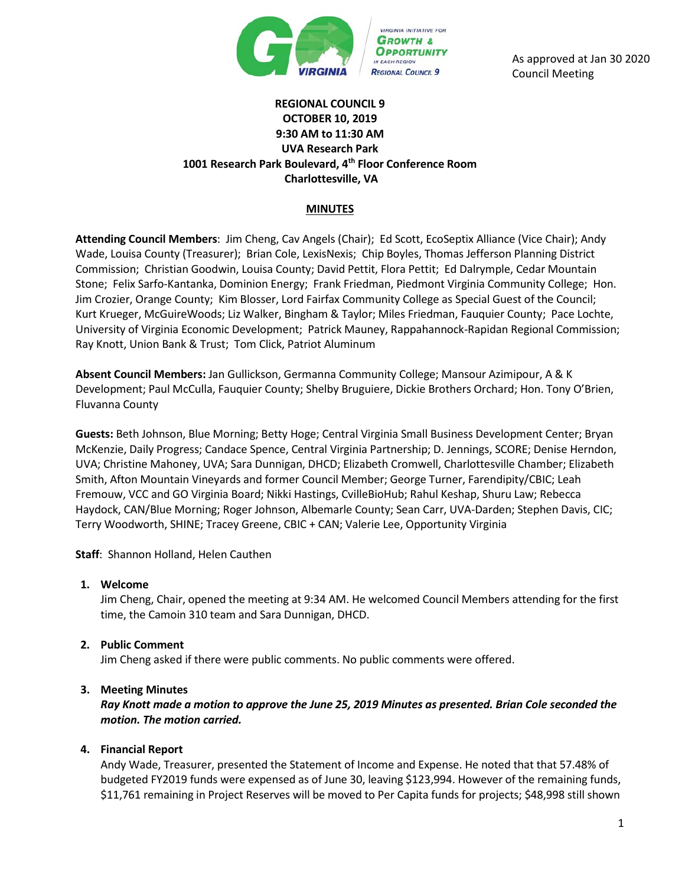

As approved at Jan 30 2020 Council Meeting

### **REGIONAL COUNCIL 9 OCTOBER 10, 2019 9:30 AM to 11:30 AM UVA Research Park 1001 Research Park Boulevard, 4th Floor Conference Room Charlottesville, VA**

### **MINUTES**

**Attending Council Members**: Jim Cheng, Cav Angels (Chair); Ed Scott, EcoSeptix Alliance (Vice Chair); Andy Wade, Louisa County (Treasurer); Brian Cole, LexisNexis; Chip Boyles, Thomas Jefferson Planning District Commission; Christian Goodwin, Louisa County; David Pettit, Flora Pettit; Ed Dalrymple, Cedar Mountain Stone; Felix Sarfo-Kantanka, Dominion Energy; Frank Friedman, Piedmont Virginia Community College; Hon. Jim Crozier, Orange County; Kim Blosser, Lord Fairfax Community College as Special Guest of the Council; Kurt Krueger, McGuireWoods; Liz Walker, Bingham & Taylor; Miles Friedman, Fauquier County; Pace Lochte, University of Virginia Economic Development; Patrick Mauney, Rappahannock-Rapidan Regional Commission; Ray Knott, Union Bank & Trust; Tom Click, Patriot Aluminum

**Absent Council Members:** Jan Gullickson, Germanna Community College; Mansour Azimipour, A & K Development; Paul McCulla, Fauquier County; Shelby Bruguiere, Dickie Brothers Orchard; Hon. Tony O'Brien, Fluvanna County

**Guests:** Beth Johnson, Blue Morning; Betty Hoge; Central Virginia Small Business Development Center; Bryan McKenzie, Daily Progress; Candace Spence, Central Virginia Partnership; D. Jennings, SCORE; Denise Herndon, UVA; Christine Mahoney, UVA; Sara Dunnigan, DHCD; Elizabeth Cromwell, Charlottesville Chamber; Elizabeth Smith, Afton Mountain Vineyards and former Council Member; George Turner, Farendipity/CBIC; Leah Fremouw, VCC and GO Virginia Board; Nikki Hastings, CvilleBioHub; Rahul Keshap, Shuru Law; Rebecca Haydock, CAN/Blue Morning; Roger Johnson, Albemarle County; Sean Carr, UVA-Darden; Stephen Davis, CIC; Terry Woodworth, SHINE; Tracey Greene, CBIC + CAN; Valerie Lee, Opportunity Virginia

**Staff**: Shannon Holland, Helen Cauthen

**1. Welcome**

Jim Cheng, Chair, opened the meeting at 9:34 AM. He welcomed Council Members attending for the first time, the Camoin 310 team and Sara Dunnigan, DHCD.

### **2. Public Comment**

Jim Cheng asked if there were public comments. No public comments were offered.

### **3. Meeting Minutes**

*Ray Knott made a motion to approve the June 25, 2019 Minutes as presented. Brian Cole seconded the motion. The motion carried.*

### **4. Financial Report**

Andy Wade, Treasurer, presented the Statement of Income and Expense. He noted that that 57.48% of budgeted FY2019 funds were expensed as of June 30, leaving \$123,994. However of the remaining funds, \$11,761 remaining in Project Reserves will be moved to Per Capita funds for projects; \$48,998 still shown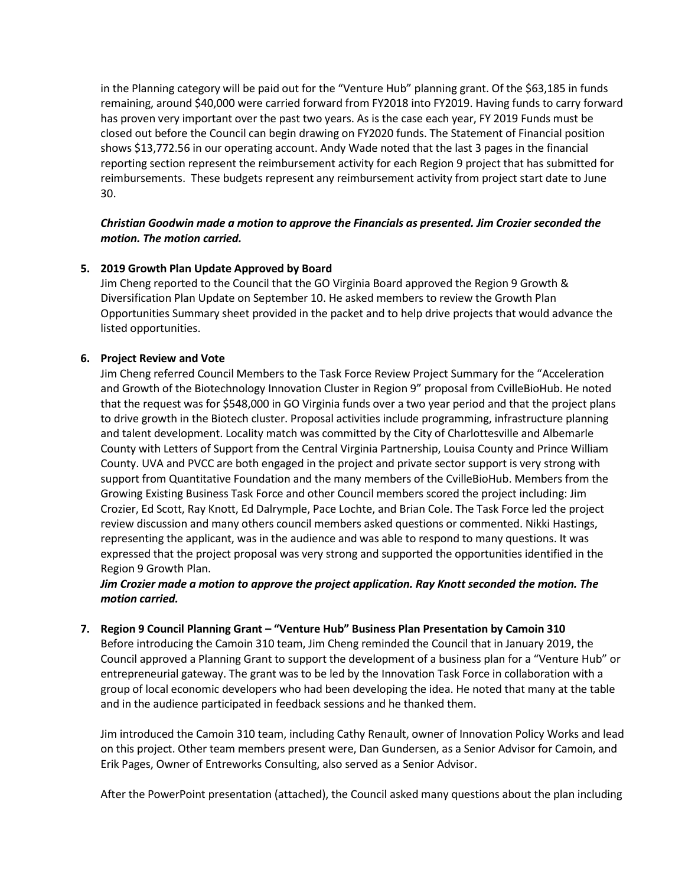in the Planning category will be paid out for the "Venture Hub" planning grant. Of the \$63,185 in funds remaining, around \$40,000 were carried forward from FY2018 into FY2019. Having funds to carry forward has proven very important over the past two years. As is the case each year, FY 2019 Funds must be closed out before the Council can begin drawing on FY2020 funds. The Statement of Financial position shows \$13,772.56 in our operating account. Andy Wade noted that the last 3 pages in the financial reporting section represent the reimbursement activity for each Region 9 project that has submitted for reimbursements. These budgets represent any reimbursement activity from project start date to June 30.

### *Christian Goodwin made a motion to approve the Financials as presented. Jim Crozier seconded the motion. The motion carried.*

### **5. 2019 Growth Plan Update Approved by Board**

Jim Cheng reported to the Council that the GO Virginia Board approved the Region 9 Growth & Diversification Plan Update on September 10. He asked members to review the Growth Plan Opportunities Summary sheet provided in the packet and to help drive projects that would advance the listed opportunities.

### **6. Project Review and Vote**

Jim Cheng referred Council Members to the Task Force Review Project Summary for the "Acceleration and Growth of the Biotechnology Innovation Cluster in Region 9" proposal from CvilleBioHub. He noted that the request was for \$548,000 in GO Virginia funds over a two year period and that the project plans to drive growth in the Biotech cluster. Proposal activities include programming, infrastructure planning and talent development. Locality match was committed by the City of Charlottesville and Albemarle County with Letters of Support from the Central Virginia Partnership, Louisa County and Prince William County. UVA and PVCC are both engaged in the project and private sector support is very strong with support from Quantitative Foundation and the many members of the CvilleBioHub. Members from the Growing Existing Business Task Force and other Council members scored the project including: Jim Crozier, Ed Scott, Ray Knott, Ed Dalrymple, Pace Lochte, and Brian Cole. The Task Force led the project review discussion and many others council members asked questions or commented. Nikki Hastings, representing the applicant, was in the audience and was able to respond to many questions. It was expressed that the project proposal was very strong and supported the opportunities identified in the Region 9 Growth Plan.

### *Jim Crozier made a motion to approve the project application. Ray Knott seconded the motion. The motion carried.*

### **7. Region 9 Council Planning Grant – "Venture Hub" Business Plan Presentation by Camoin 310**

Before introducing the Camoin 310 team, Jim Cheng reminded the Council that in January 2019, the Council approved a Planning Grant to support the development of a business plan for a "Venture Hub" or entrepreneurial gateway. The grant was to be led by the Innovation Task Force in collaboration with a group of local economic developers who had been developing the idea. He noted that many at the table and in the audience participated in feedback sessions and he thanked them.

Jim introduced the Camoin 310 team, including Cathy Renault, owner of Innovation Policy Works and lead on this project. Other team members present were, Dan Gundersen, as a Senior Advisor for Camoin, and Erik Pages, Owner of Entreworks Consulting, also served as a Senior Advisor.

After the PowerPoint presentation (attached), the Council asked many questions about the plan including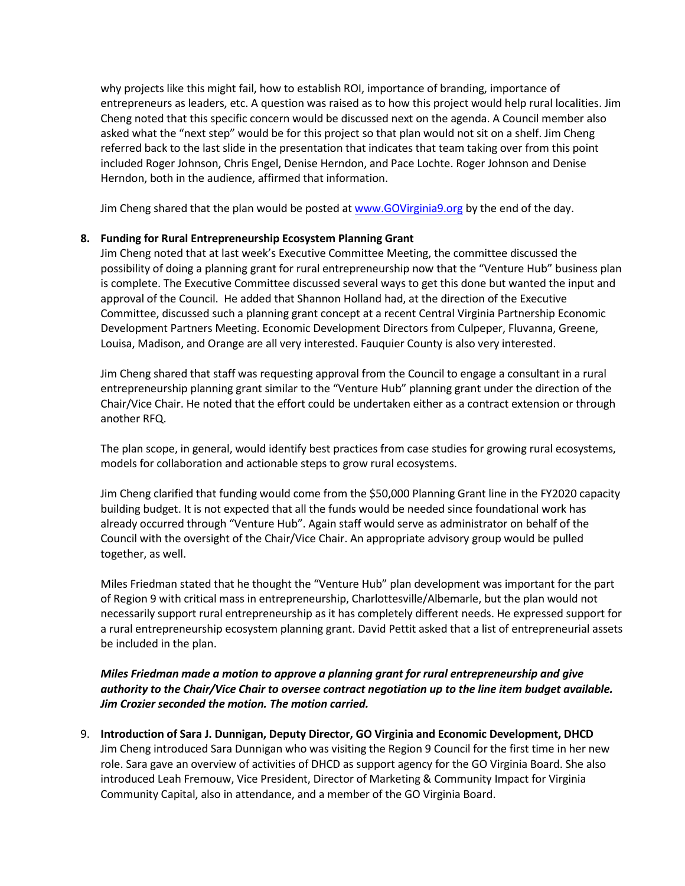why projects like this might fail, how to establish ROI, importance of branding, importance of entrepreneurs as leaders, etc. A question was raised as to how this project would help rural localities. Jim Cheng noted that this specific concern would be discussed next on the agenda. A Council member also asked what the "next step" would be for this project so that plan would not sit on a shelf. Jim Cheng referred back to the last slide in the presentation that indicates that team taking over from this point included Roger Johnson, Chris Engel, Denise Herndon, and Pace Lochte. Roger Johnson and Denise Herndon, both in the audience, affirmed that information.

Jim Cheng shared that the plan would be posted at [www.GOVirginia9.org](http://www.govirginia9.org/) by the end of the day.

### **8. Funding for Rural Entrepreneurship Ecosystem Planning Grant**

Jim Cheng noted that at last week's Executive Committee Meeting, the committee discussed the possibility of doing a planning grant for rural entrepreneurship now that the "Venture Hub" business plan is complete. The Executive Committee discussed several ways to get this done but wanted the input and approval of the Council. He added that Shannon Holland had, at the direction of the Executive Committee, discussed such a planning grant concept at a recent Central Virginia Partnership Economic Development Partners Meeting. Economic Development Directors from Culpeper, Fluvanna, Greene, Louisa, Madison, and Orange are all very interested. Fauquier County is also very interested.

Jim Cheng shared that staff was requesting approval from the Council to engage a consultant in a rural entrepreneurship planning grant similar to the "Venture Hub" planning grant under the direction of the Chair/Vice Chair. He noted that the effort could be undertaken either as a contract extension or through another RFQ.

The plan scope, in general, would identify best practices from case studies for growing rural ecosystems, models for collaboration and actionable steps to grow rural ecosystems.

Jim Cheng clarified that funding would come from the \$50,000 Planning Grant line in the FY2020 capacity building budget. It is not expected that all the funds would be needed since foundational work has already occurred through "Venture Hub". Again staff would serve as administrator on behalf of the Council with the oversight of the Chair/Vice Chair. An appropriate advisory group would be pulled together, as well.

Miles Friedman stated that he thought the "Venture Hub" plan development was important for the part of Region 9 with critical mass in entrepreneurship, Charlottesville/Albemarle, but the plan would not necessarily support rural entrepreneurship as it has completely different needs. He expressed support for a rural entrepreneurship ecosystem planning grant. David Pettit asked that a list of entrepreneurial assets be included in the plan.

### *Miles Friedman made a motion to approve a planning grant for rural entrepreneurship and give authority to the Chair/Vice Chair to oversee contract negotiation up to the line item budget available. Jim Crozier seconded the motion. The motion carried.*

9. **Introduction of Sara J. Dunnigan, Deputy Director, GO Virginia and Economic Development, DHCD** Jim Cheng introduced Sara Dunnigan who was visiting the Region 9 Council for the first time in her new role. Sara gave an overview of activities of DHCD as support agency for the GO Virginia Board. She also introduced Leah Fremouw, Vice President, Director of Marketing & Community Impact for Virginia Community Capital, also in attendance, and a member of the GO Virginia Board.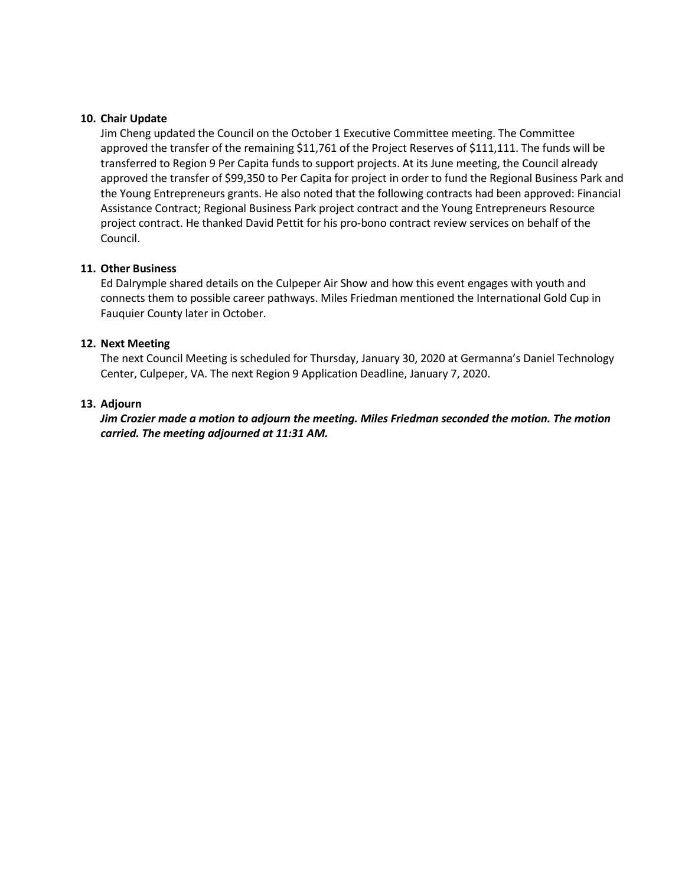### **10. Chair Update**

Jim Cheng updated the Council on the October 1 Executive Committee meeting. The Committee approved the transfer of the remaining \$11,761 of the Project Reserves of \$111,111. The funds will be transferred to Region 9 Per Capita funds to support projects. At its June meeting, the Council already approved the transfer of \$99,350 to Per Capita for project in order to fund the Regional Business Park and the Young Entrepreneurs grants. He also noted that the following contracts had been approved: Financial Assistance Contract; Regional Business Park project contract and the Young Entrepreneurs Resource project contract. He thanked David Pettit for his pro-bono contract review services on behalf of the Council.

### **11. Other Business**

Ed Dalrymple shared details on the Culpeper Air Show and how this event engages with youth and connects them to possible career pathways. Miles Friedman mentioned the International Gold Cup in Fauquier County later in October.

### **12. Next Meeting**

The next Council Meeting is scheduled for Thursday, January 30, 2020 at Germanna's Daniel Technology Center, Culpeper, VA. The next Region 9 Application Deadline, January 7, 2020.

### **13. Adjourn**

*Jim Crozier made a motion to adjourn the meeting. Miles Friedman seconded the motion. The motion carried. The meeting adjourned at 11:31 AM.*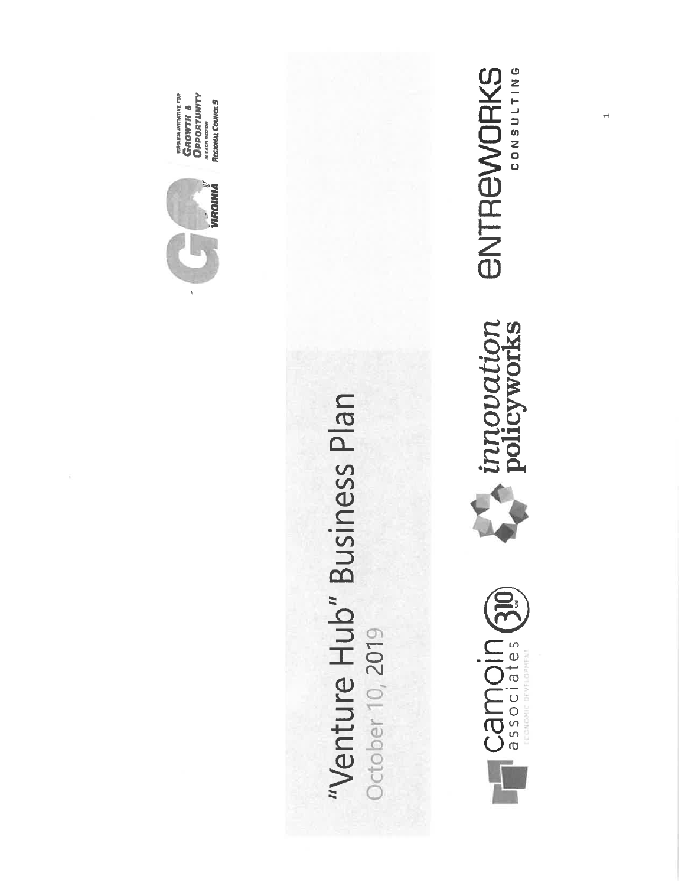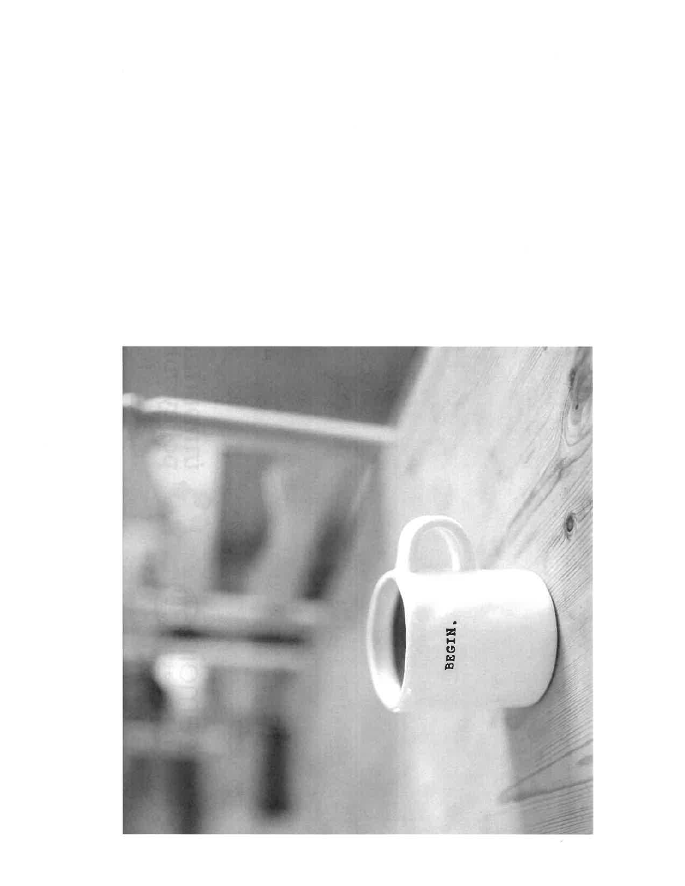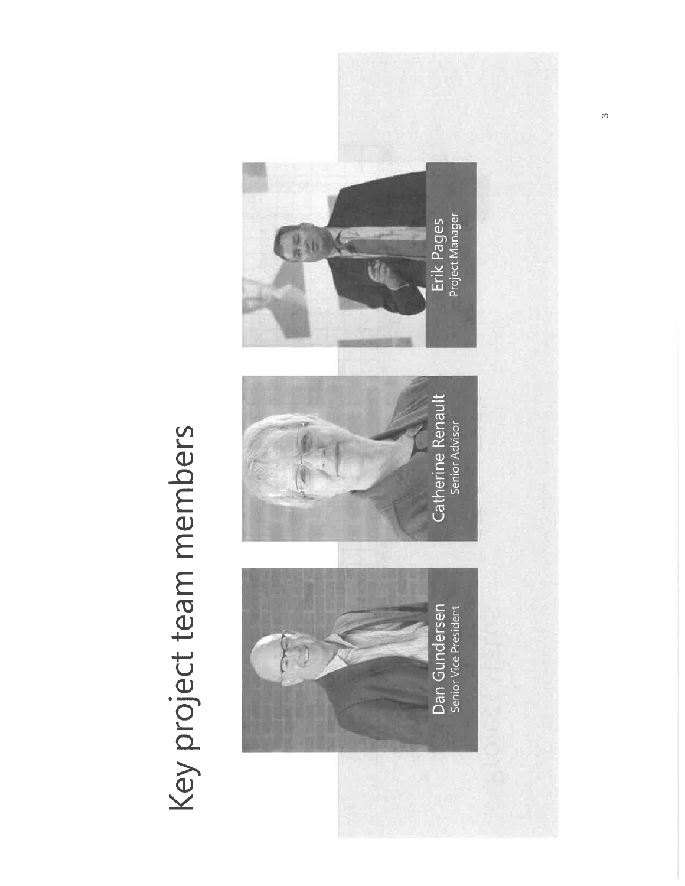## Key project team members



 $\mathcal{M}$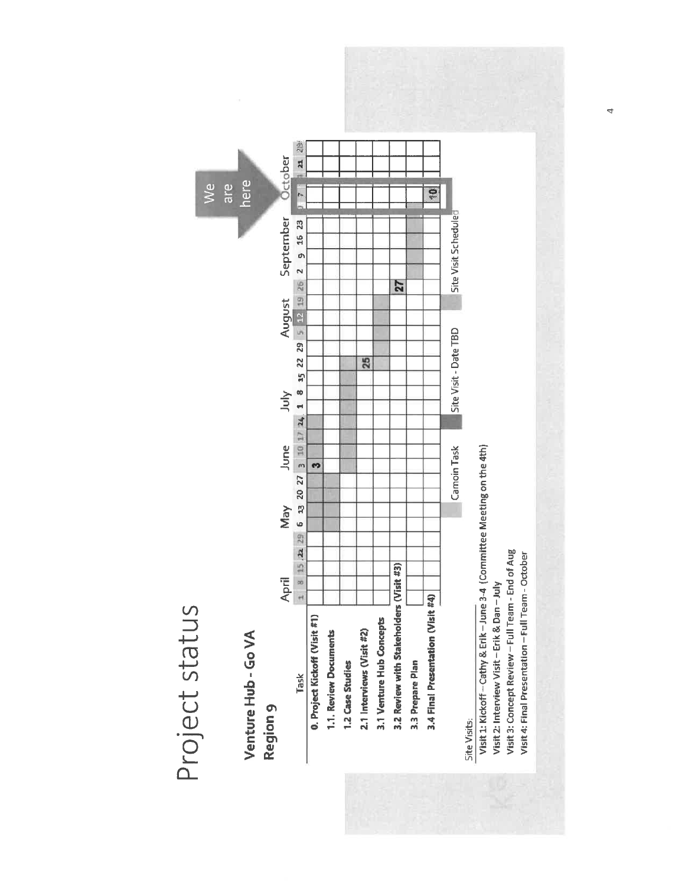



 $\overline{a}$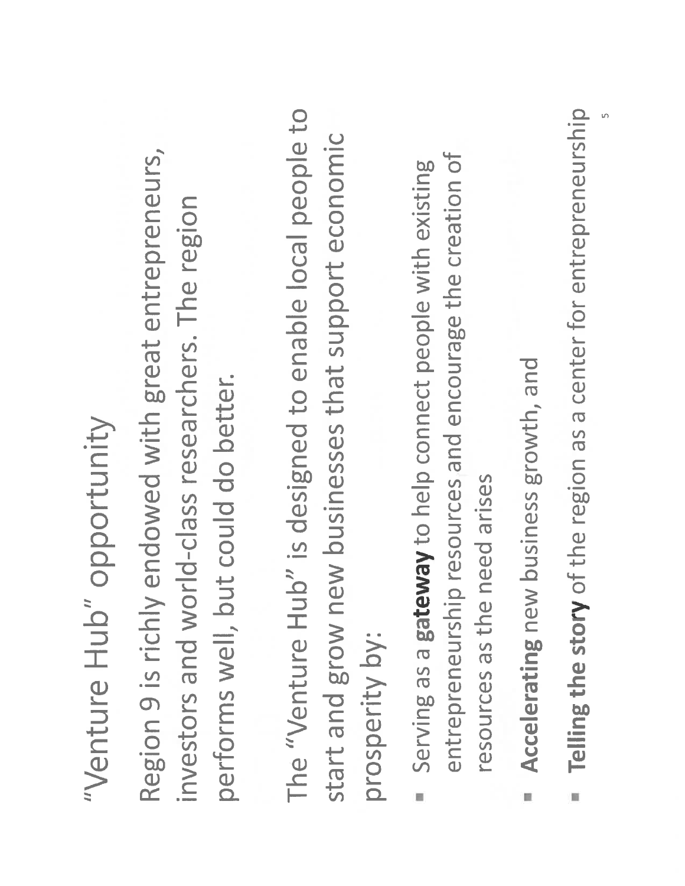| Telling the story of the region as a center for entrepreneurship<br>$\overline{5}$<br>$\blacksquare$                  |                                                |  |  |  |
|-----------------------------------------------------------------------------------------------------------------------|------------------------------------------------|--|--|--|
|                                                                                                                       |                                                |  |  |  |
|                                                                                                                       |                                                |  |  |  |
|                                                                                                                       | w business growth, and<br>Accelerating ne<br>Ш |  |  |  |
|                                                                                                                       |                                                |  |  |  |
| resources as the need arises                                                                                          |                                                |  |  |  |
| entrepreneurship resources and encourage the creation of<br>Serving as a gateway to help connect people with existing |                                                |  |  |  |
| prosperity by:                                                                                                        |                                                |  |  |  |
| start and grow new businesses that support economic                                                                   |                                                |  |  |  |
| The "Venture Hub" is designed to enable local people to                                                               |                                                |  |  |  |
|                                                                                                                       |                                                |  |  |  |
| performs well, but could do better.                                                                                   |                                                |  |  |  |
| investors and world-class researchers. The region                                                                     |                                                |  |  |  |
| Region 9 is richly endowed with great entrepreneurs,                                                                  |                                                |  |  |  |
| opportunity<br>"Venture Hub"                                                                                          |                                                |  |  |  |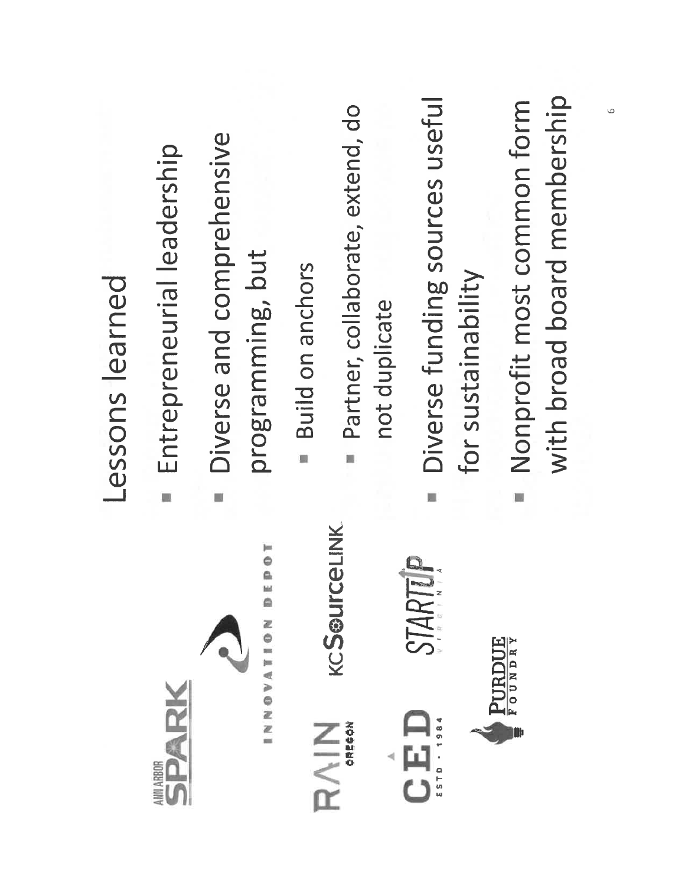|                            |                                       | Lessons learned                                           |
|----------------------------|---------------------------------------|-----------------------------------------------------------|
| ARK<br>ANN ARBOR           |                                       | Entrepreneurial leadership                                |
| NNOVAI<br>i.               | ⊨<br>$\bullet$<br>ш<br>$\blacksquare$ | Diverse and comprehensive<br>programming, but             |
|                            |                                       | <b>Build on anchors</b>                                   |
| NIVE                       | $\breve{\Xi}$<br><b>KCS®UrceL</b>     | Partner, collaborate, extend, do<br>not duplicate         |
| $\mathbf{\hat{H}}$<br>ESTD | STARTUP                               | Diverse funding sources useful                            |
|                            |                                       | for sustainability                                        |
|                            | PURDUE                                | with broad board membership<br>Nonprofit most common form |
|                            |                                       |                                                           |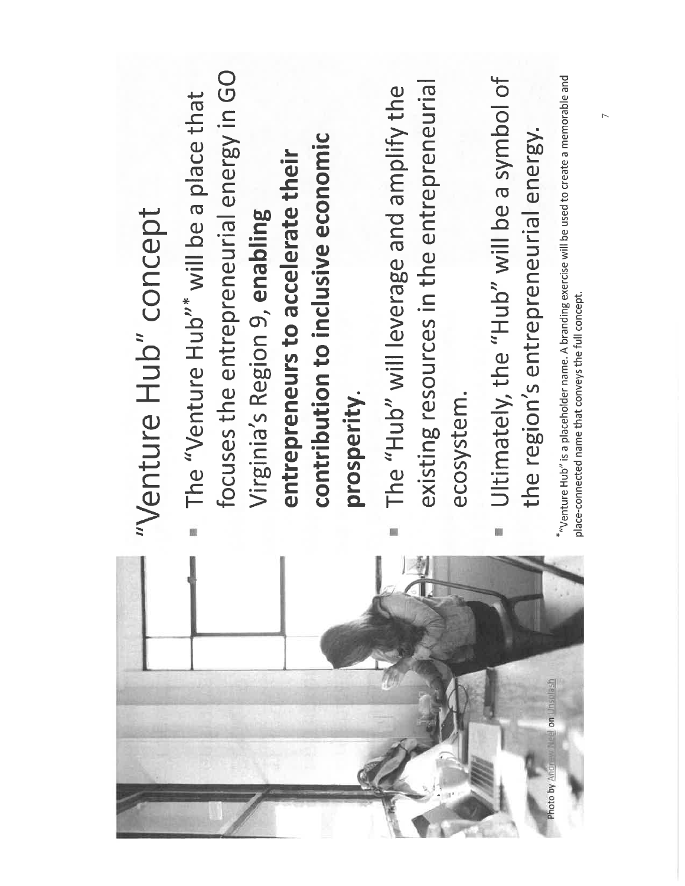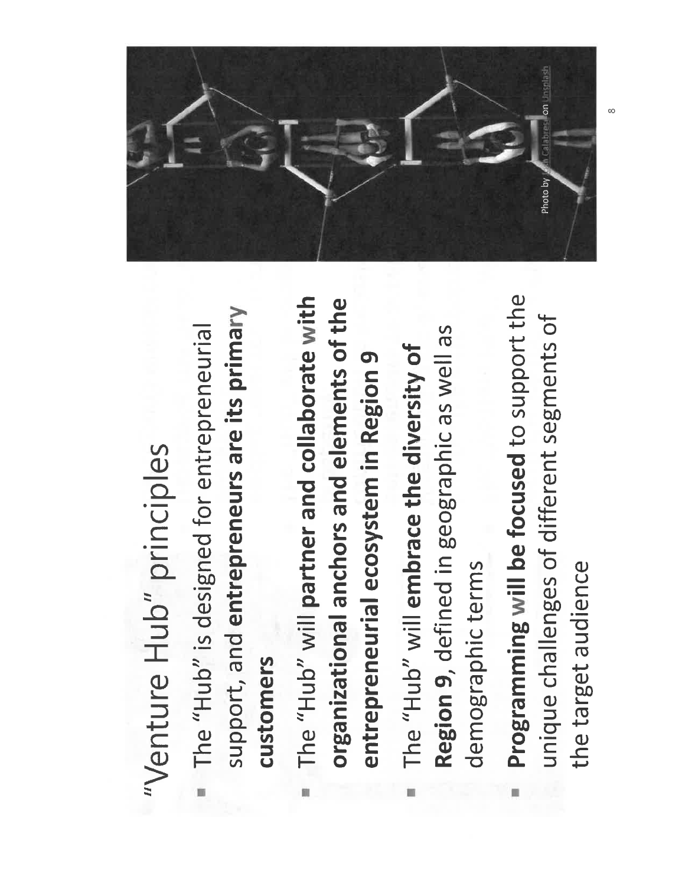## "Venture Hub" principles

- support, and entrepreneurs are its primary The "Hub" is designed for entrepreneurial customers
- The "Hub" will partner and collaborate with organizational anchors and elements of the entrepreneurial ecosystem in Region 9
- Region 9, defined in geographic as well as The "Hub" will embrace the diversity of demographic terms
- Programming will be focused to support the unique challenges of different segments of the target audience

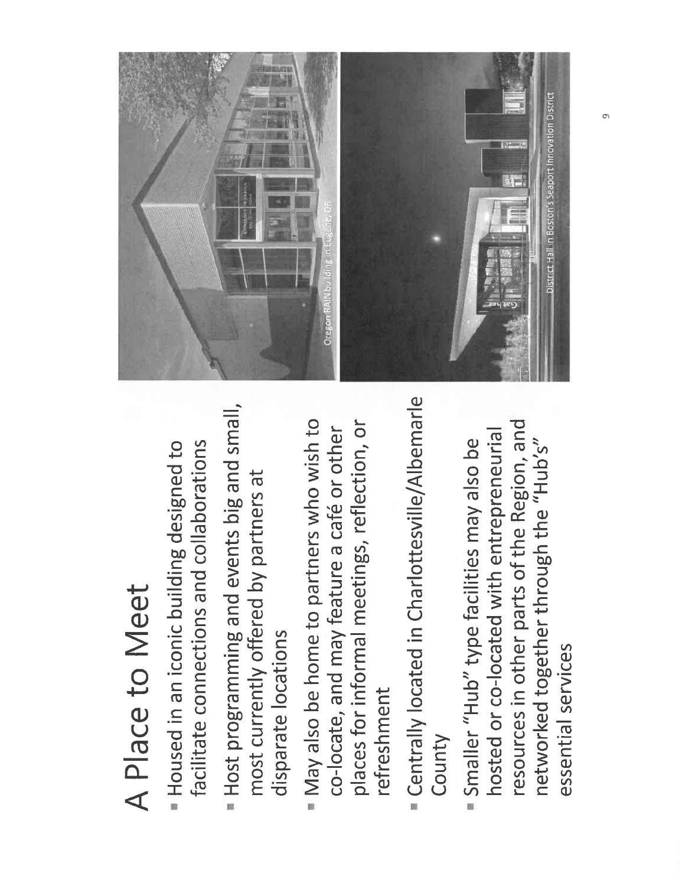### A Place to Meet

- facilitate connections and collaborations Housed in an iconic building designed to
- Host programming and events big and small, most currently offered by partners at disparate locations
- May also be home to partners who wish to places for informal meetings, reflection, or co-locate, and may feature a café or other refreshment
- Centrally located in Charlottesville/Albemarle County
- resources in other parts of the Region, and hosted or co-located with entrepreneurial networked together through the "Hub's" Smaller "Hub" type facilities may also be essential services

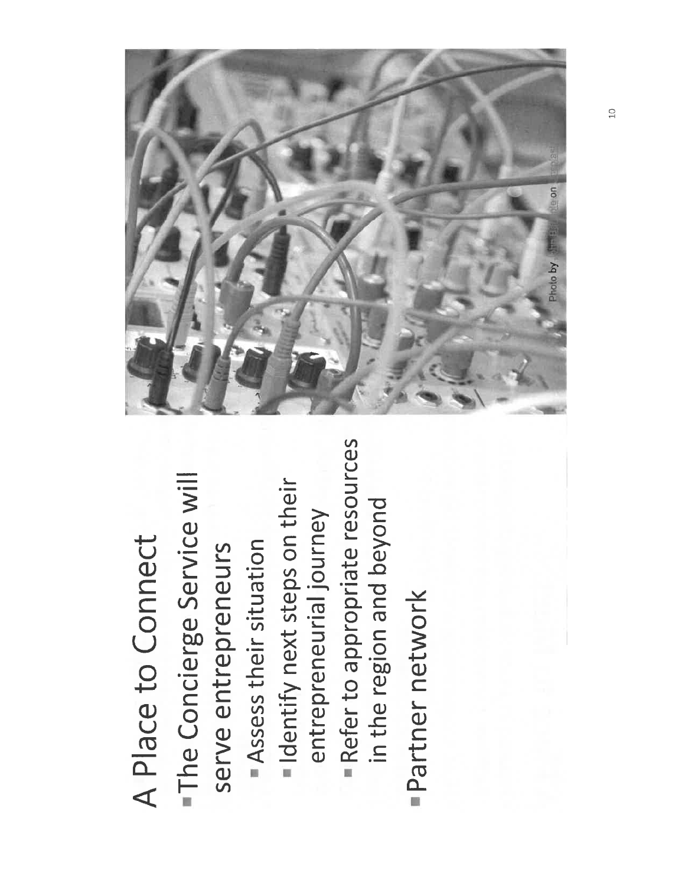### The Concierge Service will A Place to Connect serve entrepreneurs

- Assess their situation
- Identify next steps on their entrepreneurial journey
- Refer to appropriate resources in the region and beyond

### Partner network

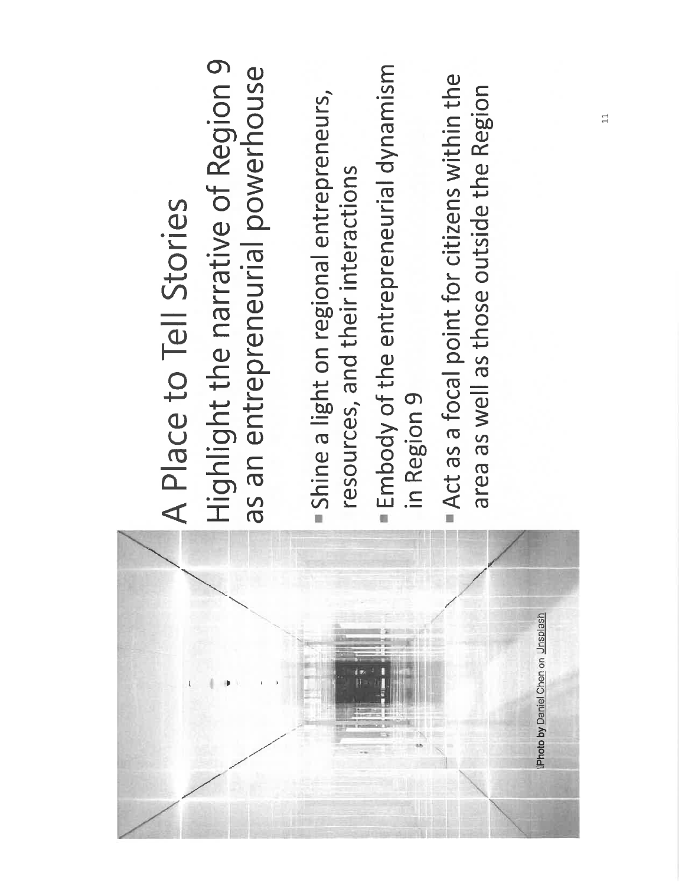

## A Place to Tell Stories

Highlight the narrative of Region 9 as an entrepreneurial powerhouse

- Shine a light on regional entrepreneurs, resources, and their interactions
- **Embody of the entrepreneurial dynamism** in Region 9
- Act as a focal point for citizens within the area as well as those outside the Region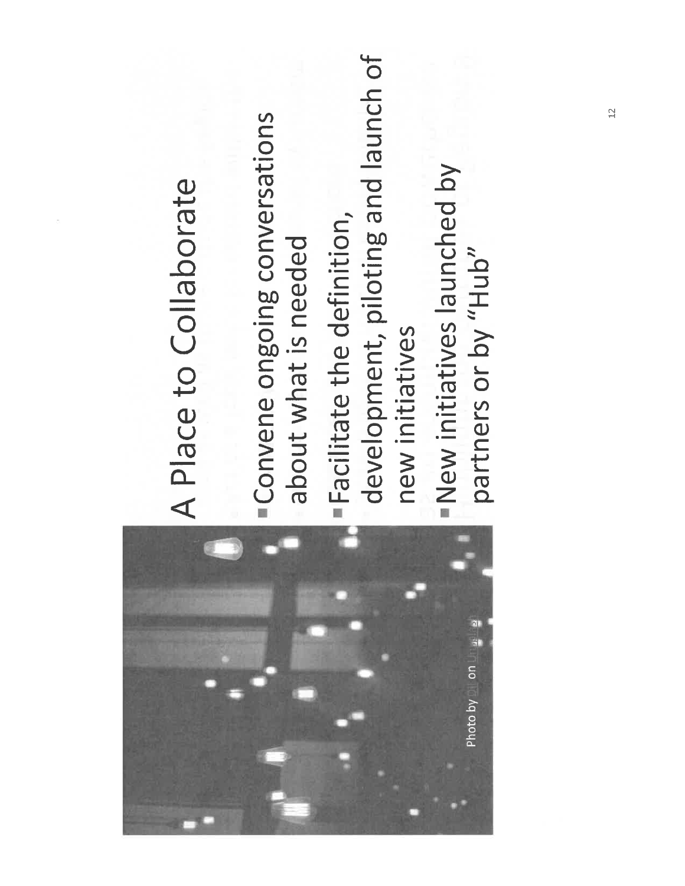

## A Place to Collaborate

- Convene ongoing conversations about what is needed
- development, piloting and launch of New initiatives launched by Facilitate the definition, partners or by "Hub" new initiatives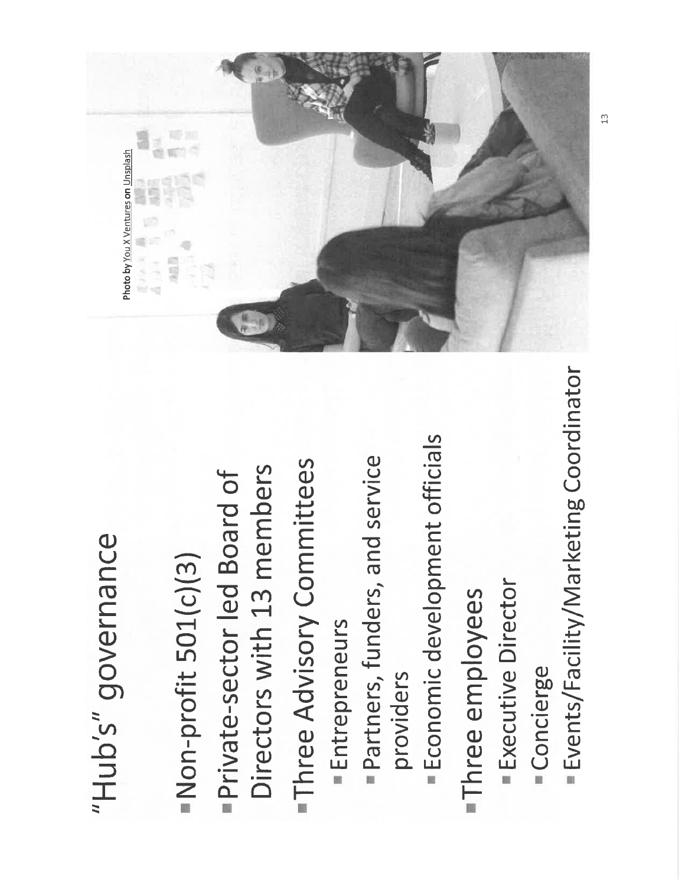### "Hub's" governance

- $N$ on-profit  $501(c)(3)$
- Directors with 13 members **Private-sector led Board of**
- Three Advisory Committees
- Entrepreneurs
- Partners, funders, and service providers
- **Economic development officials**
- Three employees
- **Executive Director**
- Concierge
- Events/Facility/Marketing Coordinator

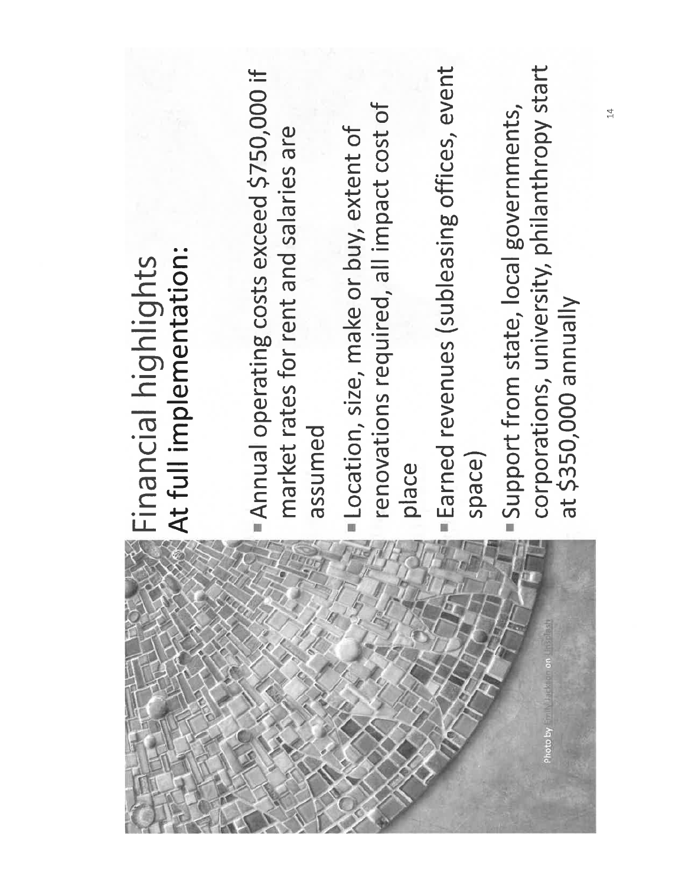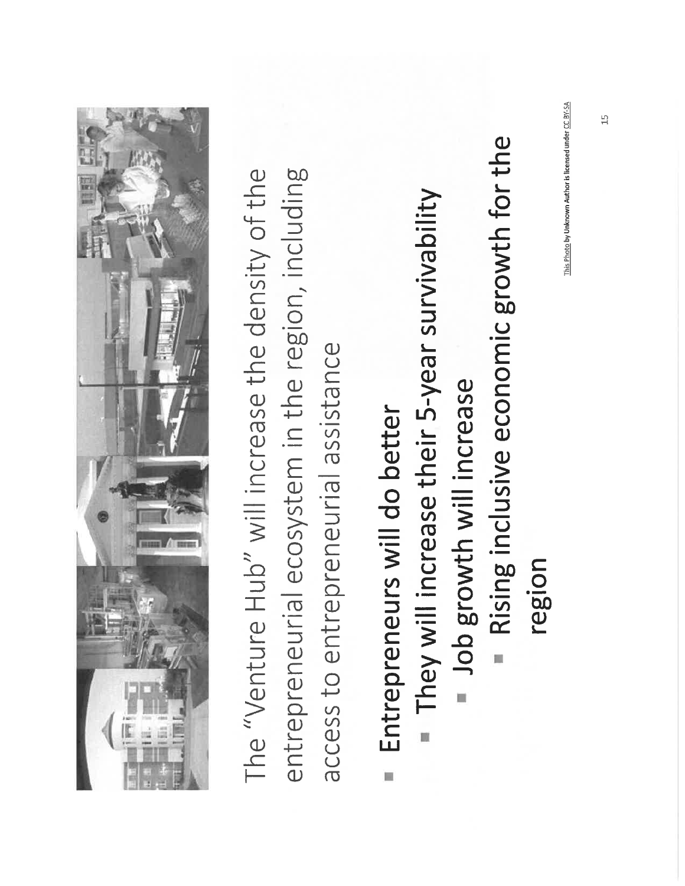

entrepreneurial ecosystem in the region, including The "Venture Hub" will increase the density of the access to entrepreneurial assistance

- Entrepreneurs will do better  $\Box$
- They will increase their 5-year survivability
	- Iob growth will increase
- Rising inclusive economic growth for the region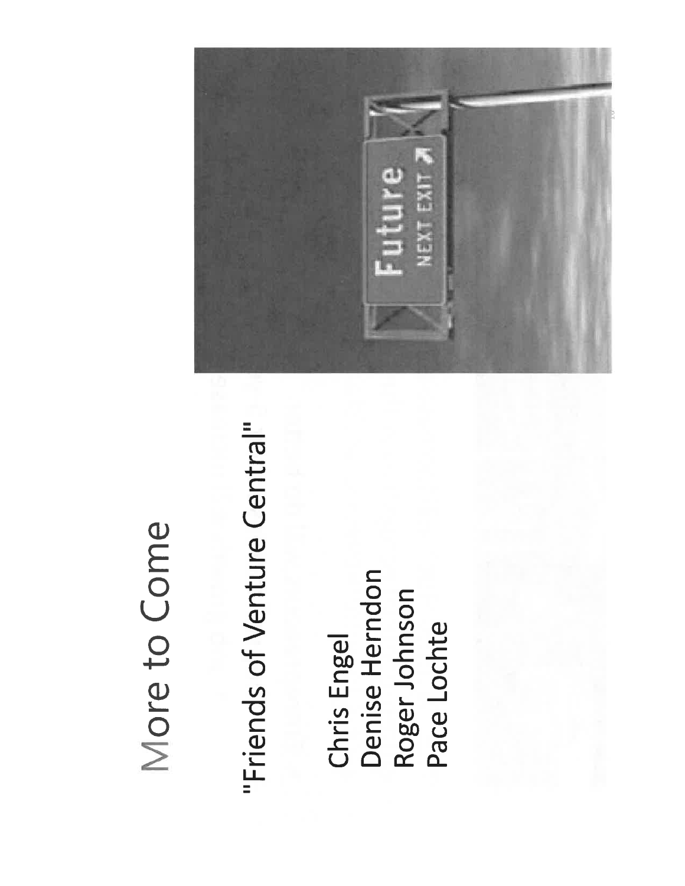### More to Come

"Friends of Venture Central"

Chris Engel<br>Denise Herndon Roger Johnson Pace Lochte